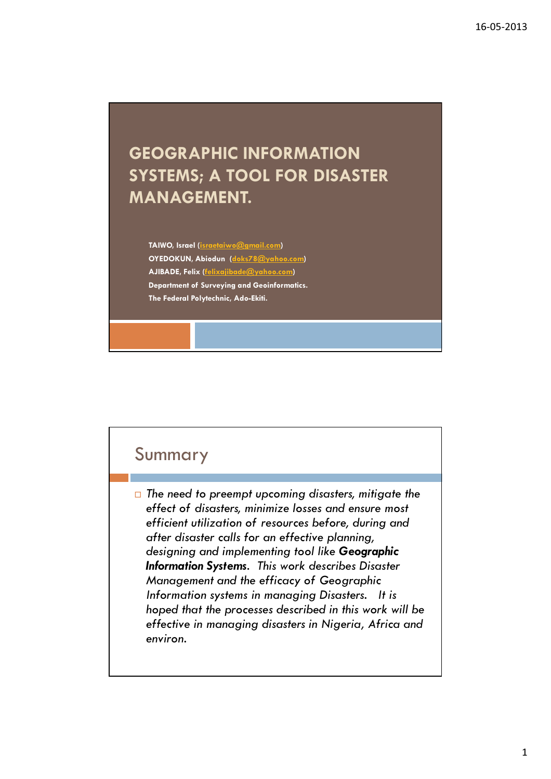## GEOGRAPHIC INFORMATION SYSTEMS; A TOOL FOR DISASTER MANAGEMENT.

TAIWO, Israel (israetaiwo@gmail.com) OYEDOKUN, Abiodun (doks78@yahoo.com) AJIBADE, Felix (felixajibade@yahoo.com) Department of Surveying and Geoinformatics. The Federal Polytechnic, Ado-Ekiti.

#### Summary

 $\Box$  The need to preempt upcoming disasters, mitigate the effect of disasters, minimize losses and ensure most efficient utilization of resources before, during and after disaster calls for an effective planning, designing and implementing tool like Geographic Information Systems. This work describes Disaster Management and the efficacy of Geographic Information systems in managing Disasters. It is hoped that the processes described in this work will be effective in managing disasters in Nigeria, Africa and environ.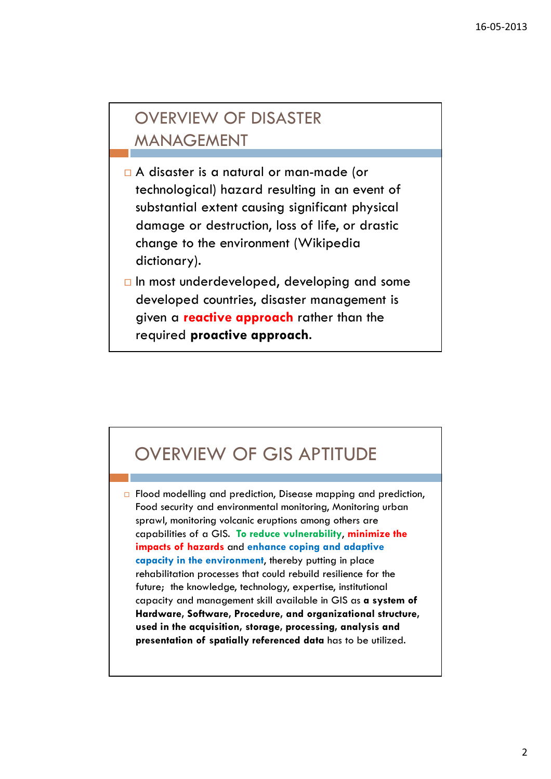## OVERVIEW OF DISASTER MANAGEMENT

- A disaster is a natural or man-made (or technological) hazard resulting in an event of substantial extent causing significant physical damage or destruction, loss of life, or drastic change to the environment (Wikipedia dictionary).
- $\Box$  In most underdeveloped, developing and some developed countries, disaster management is given a **reactive approach** rather than the required proactive approach.

## OVERVIEW OF GIS APTITUDE

 $\Box$  Flood modelling and prediction, Disease mapping and prediction, Food security and environmental monitoring, Monitoring urban sprawl, monitoring volcanic eruptions among others are capabilities of a GIS. To reduce vulnerability, minimize the impacts of hazards and enhance coping and adaptive capacity in the environment, thereby putting in place rehabilitation processes that could rebuild resilience for the future; the knowledge, technology, expertise, institutional capacity and management skill available in GIS as a system of Hardware, Software, Procedure, and organizational structure, used in the acquisition, storage, processing, analysis and presentation of spatially referenced data has to be utilized.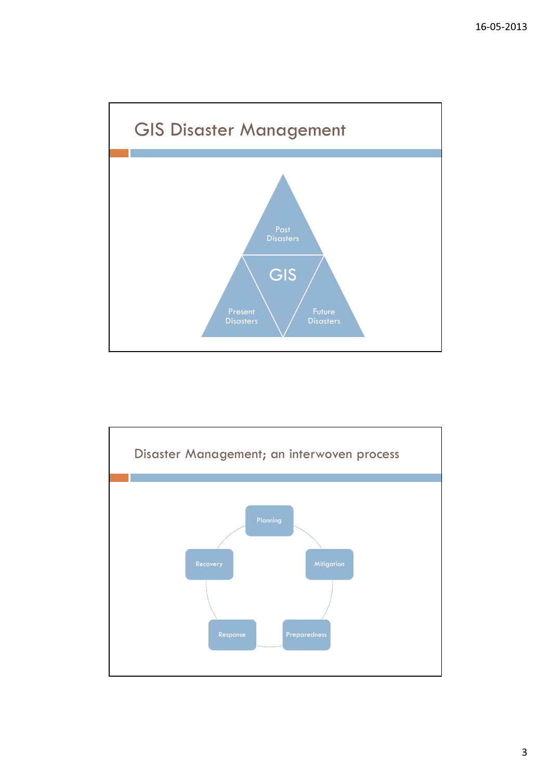

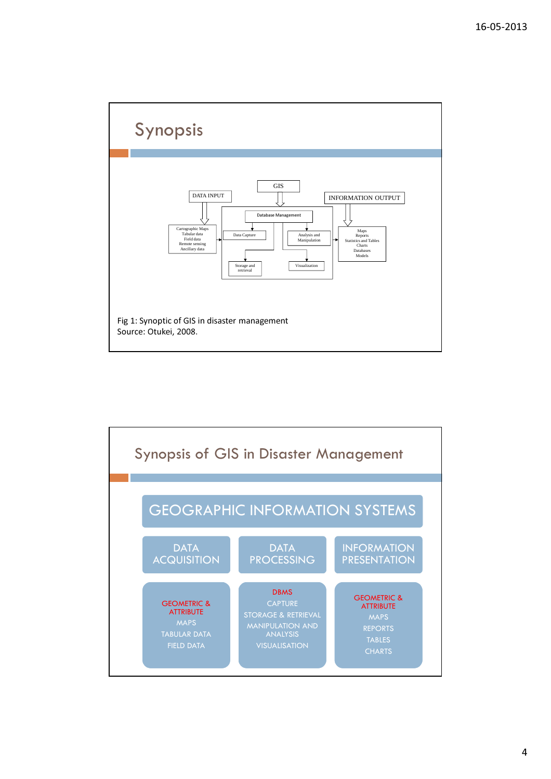

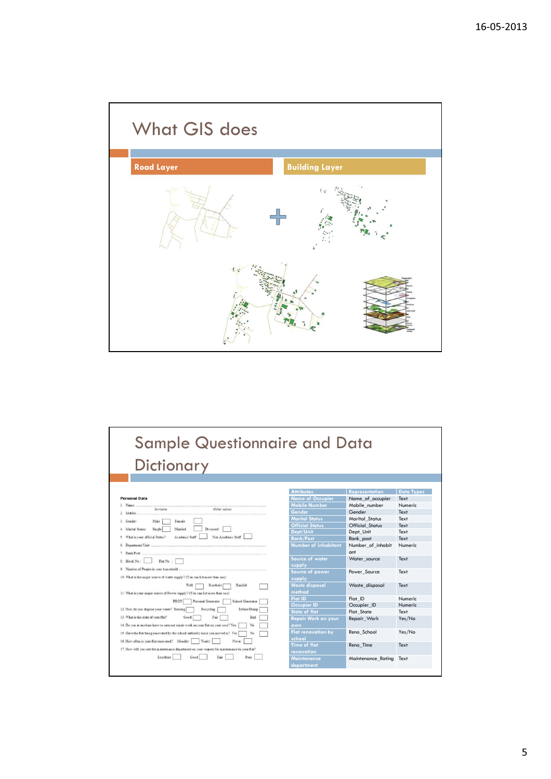

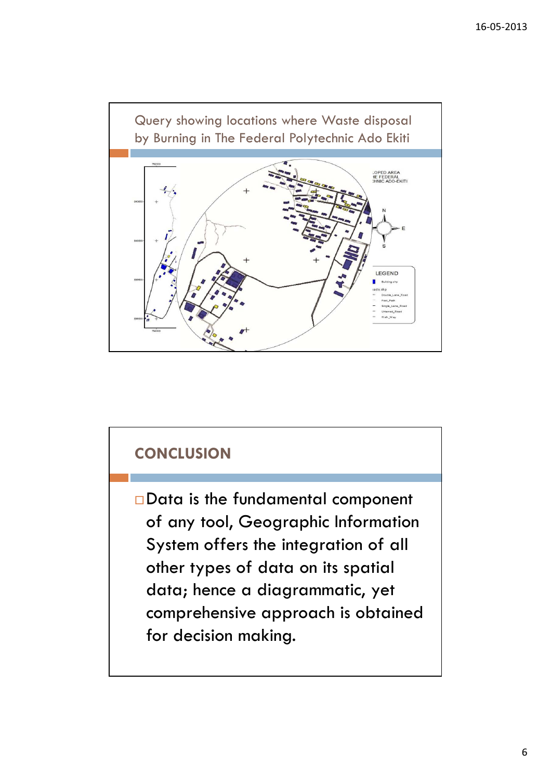

### **CONCLUSION**

Data is the fundamental component of any tool, Geographic Information System offers the integration of all other types of data on its spatial data; hence a diagrammatic, yet comprehensive approach is obtained for decision making.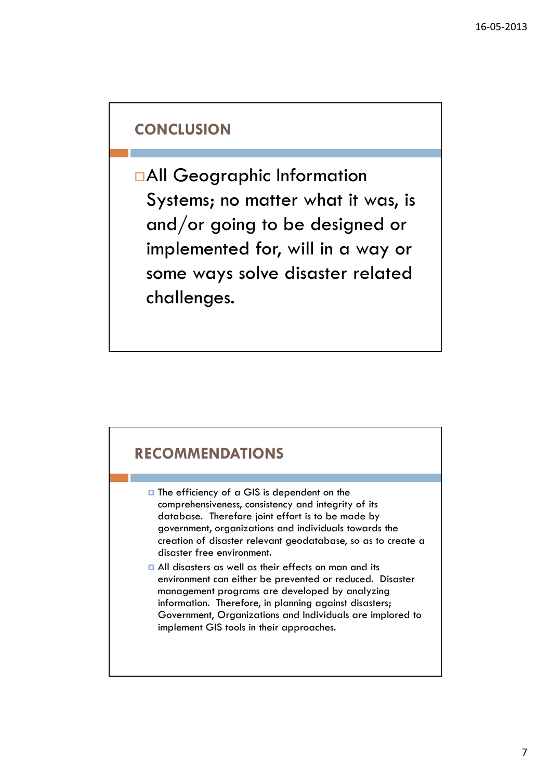#### **CONCLUSION**

All Geographic Information Systems; no matter what it was, is and/or going to be designed or implemented for, will in a way or some ways solve disaster related challenges.



- $\Box$  The efficiency of a GIS is dependent on the comprehensiveness, consistency and integrity of its database. Therefore joint effort is to be made by government, organizations and individuals towards the creation of disaster relevant geodatabase, so as to create a disaster free environment.
- **All disasters as well as their effects on man and its** environment can either be prevented or reduced. Disaster management programs are developed by analyzing information. Therefore, in planning against disasters; Government, Organizations and Individuals are implored to implement GIS tools in their approaches.